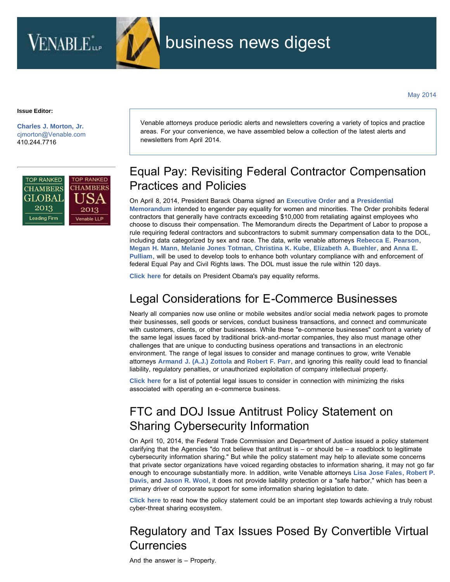

**Issue Editor:**

**[Charles J. Morton, Jr.](http://www.venable.com/charles-j-morton)** [cjmorton@Venable.com](mailto:cjmorton@Venable.com) 410.244.7716



Venable attorneys produce periodic alerts and newsletters covering a variety of topics and practice areas. For your convenience, we have assembled below a collection of the latest alerts and newsletters from April 2014.

# Equal Pay: Revisiting Federal Contractor Compensation Practices and Policies

On April 8, 2014, President Barack Obama signed an **[Executive Order](http://www.whitehouse.gov/the-press-office/2014/04/08/executive-order-non-retaliation-disclosure-compensation-information)** and a **[Presidential](http://www.whitehouse.gov/the-press-office/2014/04/08/presidential-memorandum-advancing-pay-equality-through-compensation-data) [Memorandum](http://www.whitehouse.gov/the-press-office/2014/04/08/presidential-memorandum-advancing-pay-equality-through-compensation-data)** intended to engender pay equality for women and minorities. The Order prohibits federal contractors that generally have contracts exceeding \$10,000 from retaliating against employees who choose to discuss their compensation. The Memorandum directs the Department of Labor to propose a rule requiring federal contractors and subcontractors to submit summary compensation data to the DOL, including data categorized by sex and race. The data, write venable attorneys **[Rebecca E. Pearson](http://www.venable.com/rebecca-e-pearson)**, **[Megan H. Mann](http://www.venable.com/Megan-H-Mann)**, **[Melanie Jones Totman](http://www.venable.com/Melanie-J-Totman)**, **[Christina K. Kube](http://www.venable.com/Christina-K-Kube)**, **[Elizabeth A. Buehler](http://www.venable.com/Elizabeth-A-Buehler)**, and **[Anna E.](http://www.venable.com/Anna-E-Pulliam) [Pulliam](http://www.venable.com/Anna-E-Pulliam)**, will be used to develop tools to enhance both voluntary compliance with and enforcement of federal Equal Pay and Civil Rights laws. The DOL must issue the rule within 120 days.

**[Click here](http://www.venable.com/equal-pay-revisiting-federal-contractor-compensation-practices-and-policies-04-14-2014/)** for details on President Obama's pay equality reforms.

## Legal Considerations for E-Commerce Businesses

Nearly all companies now use online or mobile websites and/or social media network pages to promote their businesses, sell goods or services, conduct business transactions, and connect and communicate with customers, clients, or other businesses. While these "e-commerce businesses" confront a variety of the same legal issues faced by traditional brick-and-mortar companies, they also must manage other challenges that are unique to conducting business operations and transactions in an electronic environment. The range of legal issues to consider and manage continues to grow, write Venable attorneys **[Armand J. \(A.J.\) Zottola](http://www.venable.com/Armand-J-Zottola)** and **[Robert F. Parr](http://www.venable.com/Robert-F-Parr)**, and ignoring this reality could lead to financial liability, regulatory penalties, or unauthorized exploitation of company intellectual property.

**[Click here](http://www.venable.com/legal-considerations-for-e-commerce-businesses-04-04-2014/)** for a list of potential legal issues to consider in connection with minimizing the risks associated with operating an e-commerce business.

## FTC and DOJ Issue Antitrust Policy Statement on Sharing Cybersecurity Information

On April 10, 2014, the Federal Trade Commission and Department of Justice issued a policy statement clarifying that the Agencies "do not believe that antitrust is  $-$  or should be  $-$  a roadblock to legitimate cybersecurity information sharing." But while the policy statement may help to alleviate some concerns that private sector organizations have voiced regarding obstacles to information sharing, it may not go far enough to encourage substantially more. In addition, write Venable attorneys **[Lisa Jose Fales](http://www.venable.com/Lisa-J-Fales)**, **[Robert P.](http://www.venable.com/Robert-P-Davis) [Davis](http://www.venable.com/Robert-P-Davis)**, and **[Jason R. Wool](http://www.venable.com/Jason-R-Wool)**, it does not provide liability protection or a "safe harbor," which has been a primary driver of corporate support for some information sharing legislation to date.

**[Click here](http://www.venable.com/ftc-and-doj-issue-antitrust-policy-statement-on-sharing-cybersecurity-information-04-2014/)** to read how the policy statement could be an important step towards achieving a truly robust cyber-threat sharing ecosystem.

### Regulatory and Tax Issues Posed By Convertible Virtual Currencies

And the answer is – Property.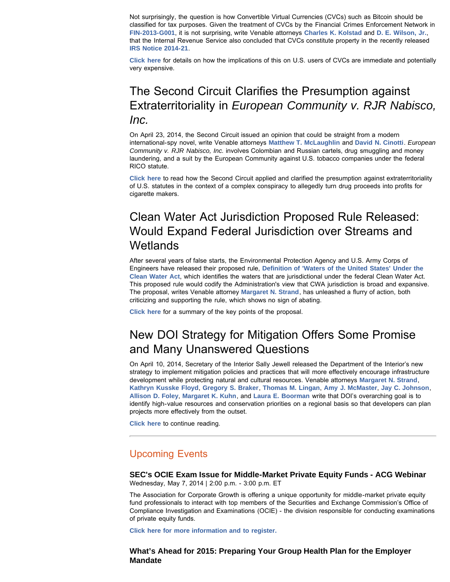Not surprisingly, the question is how Convertible Virtual Currencies (CVCs) such as Bitcoin should be classified for tax purposes. Given the treatment of CVCs by the Financial Crimes Enforcement Network in **[FIN-2013-G001](http://fincen.gov/statutes_regs/guidance/html/FIN-2013-G001.html)**, it is not surprising, write Venable attorneys **[Charles K. Kolstad](http://www.venable.com/charles-k-kolstad)** and **[D. E. Wilson, Jr.](http://www.venable.com/D-E-Wilson)**, that the Internal Revenue Service also concluded that CVCs constitute property in the recently released **[IRS Notice 2014-21](http://www.irs.gov/pub/irs-drop/n-14-21.pdf?utm_source=3.31.2014+Tax+Alert&utm_campaign=3.31.14+Tax+Alert&utm_medium=email)**.

**[Click here](http://www.venable.com/regulatory-and-tax-issues-posed-by-convertible-virtual-currencies-04-04-2014/)** for details on how the implications of this on U.S. users of CVCs are immediate and potentially very expensive.

#### The Second Circuit Clarifies the Presumption against Extraterritoriality in *European Community v. RJR Nabisco, Inc.*

On April 23, 2014, the Second Circuit issued an opinion that could be straight from a modern international-spy novel, write Venable attorneys **[Matthew T. McLaughlin](http://www.venable.com/matthew-t-mclaughlin)** and **[David N. Cinotti](http://www.venable.com/David-N-Cinotti)**. *European Community v. RJR Nabisco, Inc.* involves Colombian and Russian cartels, drug smuggling and money laundering, and a suit by the European Community against U.S. tobacco companies under the federal RICO statute.

**[Click here](http://www.venable.com/the-second-circuit-clarifies-the-presumption-against-extraterritoriality-in-european-community-v-rjr-nabisco-inc-04-30-2014/)** to read how the Second Circuit applied and clarified the presumption against extraterritoriality of U.S. statutes in the context of a complex conspiracy to allegedly turn drug proceeds into profits for cigarette makers.

#### Clean Water Act Jurisdiction Proposed Rule Released: Would Expand Federal Jurisdiction over Streams and **Wetlands**

After several years of false starts, the Environmental Protection Agency and U.S. Army Corps of Engineers have released their proposed rule, **[Definition of 'Waters of the United States' Under the](http://www2.epa.gov/sites/production/files/2014-03/documents/wus_proposed_rule_20140325_prepublication.pdf) [Clean Water Act](http://www2.epa.gov/sites/production/files/2014-03/documents/wus_proposed_rule_20140325_prepublication.pdf)**, which identifies the waters that are jurisdictional under the federal Clean Water Act. This proposed rule would codify the Administration's view that CWA jurisdiction is broad and expansive. The proposal, writes Venable attorney **[Margaret N. Strand](http://www.venable.com/margaret-n-strand)**, has unleashed a flurry of action, both criticizing and supporting the rule, which shows no sign of abating.

**[Click here](http://www.venable.com/clean-water-act-jurisdiction-proposed-rule-released-would-expand-federal-jurisdiction-over-streams-and-wetlands-04-03-2014/)** for a summary of the key points of the proposal.

#### New DOI Strategy for Mitigation Offers Some Promise and Many Unanswered Questions

On April 10, 2014, Secretary of the Interior Sally Jewell released the Department of the Interior's new strategy to implement mitigation policies and practices that will more effectively encourage infrastructure development while protecting natural and cultural resources. Venable attorneys **[Margaret N. Strand](http://www.venable.com/margaret-n-strand)**, **[Kathryn Kusske Floyd](http://www.venable.com/Kathryn-K-Floyd)**, **[Gregory S. Braker](http://www.venable.com/Gregory-S-Braker)**, **[Thomas M. Lingan](http://www.venable.com/thomas-m-lingan)**, **[Amy J. McMaster](http://www.venable.com/Amy-J-McMaster)**, **[Jay C. Johnson](http://www.venable.com/Jay-C-Johnson)**, **[Allison D. Foley](http://www.venable.com/Allison-D-Foley)**, **[Margaret K. Kuhn](http://www.venable.com/Margaret-K-Kuhn)**, and **[Laura E. Boorman](http://www.venable.com/Laura-E-Boorman)** write that DOI's overarching goal is to identify high-value resources and conservation priorities on a regional basis so that developers can plan projects more effectively from the outset.

**[Click here](http://www.venable.com/new-doi-strategy-for-mitigation-offers-some-promise-and-many-unanswered-questions-04-25-2014/)** to continue reading.

#### Upcoming Events

**SEC's OCIE Exam Issue for Middle-Market Private Equity Funds - ACG Webinar** Wednesday, May 7, 2014 | 2:00 p.m. - 3:00 p.m. ET

The Association for Corporate Growth is offering a unique opportunity for middle-market private equity fund professionals to interact with top members of the Securities and Exchange Commission's Office of Compliance Investigation and Examinations (OCIE) - the division responsible for conducting examinations of private equity funds.

**[Click here for more information and to register.](https://www4.gotomeeting.com/register/612363759)**

#### **What's Ahead for 2015: Preparing Your Group Health Plan for the Employer Mandate**